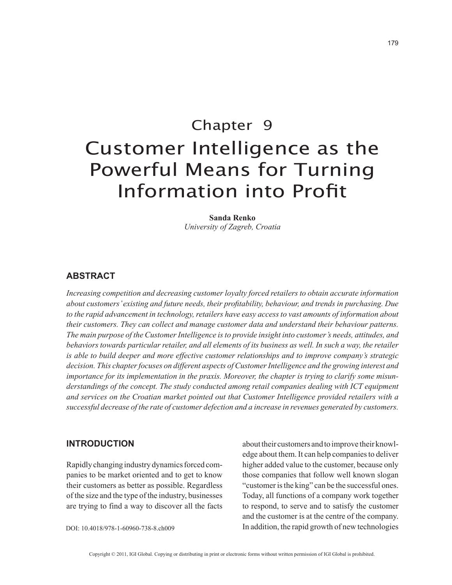# Chapter 9 Customer Intelligence as the Powerful Means for Turning Information into Profit

**Sanda Renko** *University of Zagreb, Croatia*

# **ABSTRACT**

*Increasing competition and decreasing customer loyalty forced retailers to obtain accurate information about customers' existing and future needs, their profitability, behaviour, and trends in purchasing. Due to the rapid advancement in technology, retailers have easy access to vast amounts of information about their customers. They can collect and manage customer data and understand their behaviour patterns. The main purpose of the Customer Intelligence is to provide insight into customer's needs, attitudes, and*  behaviors towards particular retailer, and all elements of its business as well. In such a way, the retailer *is able to build deeper and more effective customer relationships and to improve company's strategic decision. This chapter focuses on different aspects of Customer Intelligence and the growing interest and importance for its implementation in the praxis. Moreover, the chapter is trying to clarify some misunderstandings of the concept. The study conducted among retail companies dealing with ICT equipment and services on the Croatian market pointed out that Customer Intelligence provided retailers with a successful decrease of the rate of customer defection and a increase in revenues generated by customers.*

# **INTRODUCTION**

Rapidly changing industry dynamics forced companies to be market oriented and to get to know their customers as better as possible. Regardless of the size and the type of the industry, businesses are trying to find a way to discover all the facts about their customers and to improve their knowledge about them. It can help companies to deliver higher added value to the customer, because only those companies that follow well known slogan "customer is the king" can be the successful ones. Today, all functions of a company work together to respond, to serve and to satisfy the customer and the customer is at the centre of the company. In addition, the rapid growth of new technologies

DOI: 10.4018/978-1-60960-738-8.ch009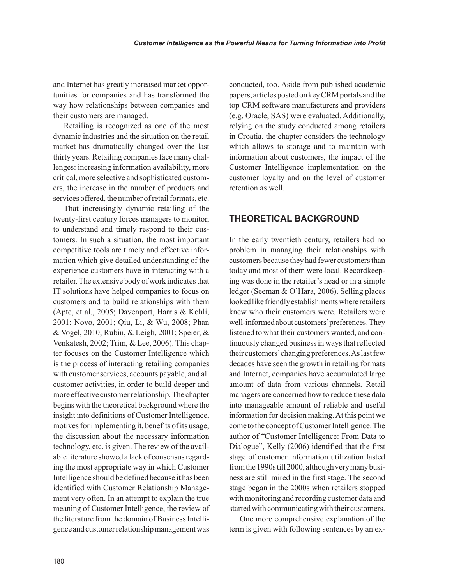and Internet has greatly increased market opportunities for companies and has transformed the way how relationships between companies and their customers are managed.

Retailing is recognized as one of the most dynamic industries and the situation on the retail market has dramatically changed over the last thirty years. Retailing companies face many challenges: increasing information availability, more critical, more selective and sophisticated customers, the increase in the number of products and services offered, the number of retail formats, etc.

That increasingly dynamic retailing of the twenty-first century forces managers to monitor, to understand and timely respond to their customers. In such a situation, the most important competitive tools are timely and effective information which give detailed understanding of the experience customers have in interacting with a retailer. The extensive body of work indicates that IT solutions have helped companies to focus on customers and to build relationships with them (Apte, et al., 2005; Davenport, Harris & Kohli, 2001; Novo, 2001; Qiu, Li, & Wu, 2008; Phan & Vogel, 2010; Rubin, & Leigh, 2001; Speier, & Venkatesh, 2002; Trim, & Lee, 2006). This chapter focuses on the Customer Intelligence which is the process of interacting retailing companies with customer services, accounts payable, and all customer activities, in order to build deeper and more effective customer relationship. The chapter begins with the theoretical background where the insight into definitions of Customer Intelligence, motives for implementing it, benefits of its usage, the discussion about the necessary information technology, etc. is given. The review of the available literature showed a lack of consensus regarding the most appropriate way in which Customer Intelligence should be defined because it has been identified with Customer Relationship Management very often. In an attempt to explain the true meaning of Customer Intelligence, the review of the literature from the domain of Business Intelligence and customer relationship management was conducted, too. Aside from published academic papers, articles posted on key CRM portals and the top CRM software manufacturers and providers (e.g. Oracle, SAS) were evaluated. Additionally, relying on the study conducted among retailers in Croatia, the chapter considers the technology which allows to storage and to maintain with information about customers, the impact of the Customer Intelligence implementation on the customer loyalty and on the level of customer retention as well.

# **THEORETICAL BACKGROUND**

In the early twentieth century, retailers had no problem in managing their relationships with customers because they had fewer customers than today and most of them were local. Recordkeeping was done in the retailer's head or in a simple ledger (Seeman & O'Hara, 2006). Selling places looked like friendly establishments where retailers knew who their customers were. Retailers were well-informed about customers' preferences. They listened to what their customers wanted, and continuously changed business in ways that reflected their customers' changing preferences. As last few decades have seen the growth in retailing formats and Internet, companies have accumulated large amount of data from various channels. Retail managers are concerned how to reduce these data into manageable amount of reliable and useful information for decision making. At this point we come to the concept of Customer Intelligence. The author of "Customer Intelligence: From Data to Dialogue", Kelly (2006) identified that the first stage of customer information utilization lasted from the 1990s till 2000, although very many business are still mired in the first stage. The second stage began in the 2000s when retailers stopped with monitoring and recording customer data and started with communicating with their customers.

One more comprehensive explanation of the term is given with following sentences by an ex